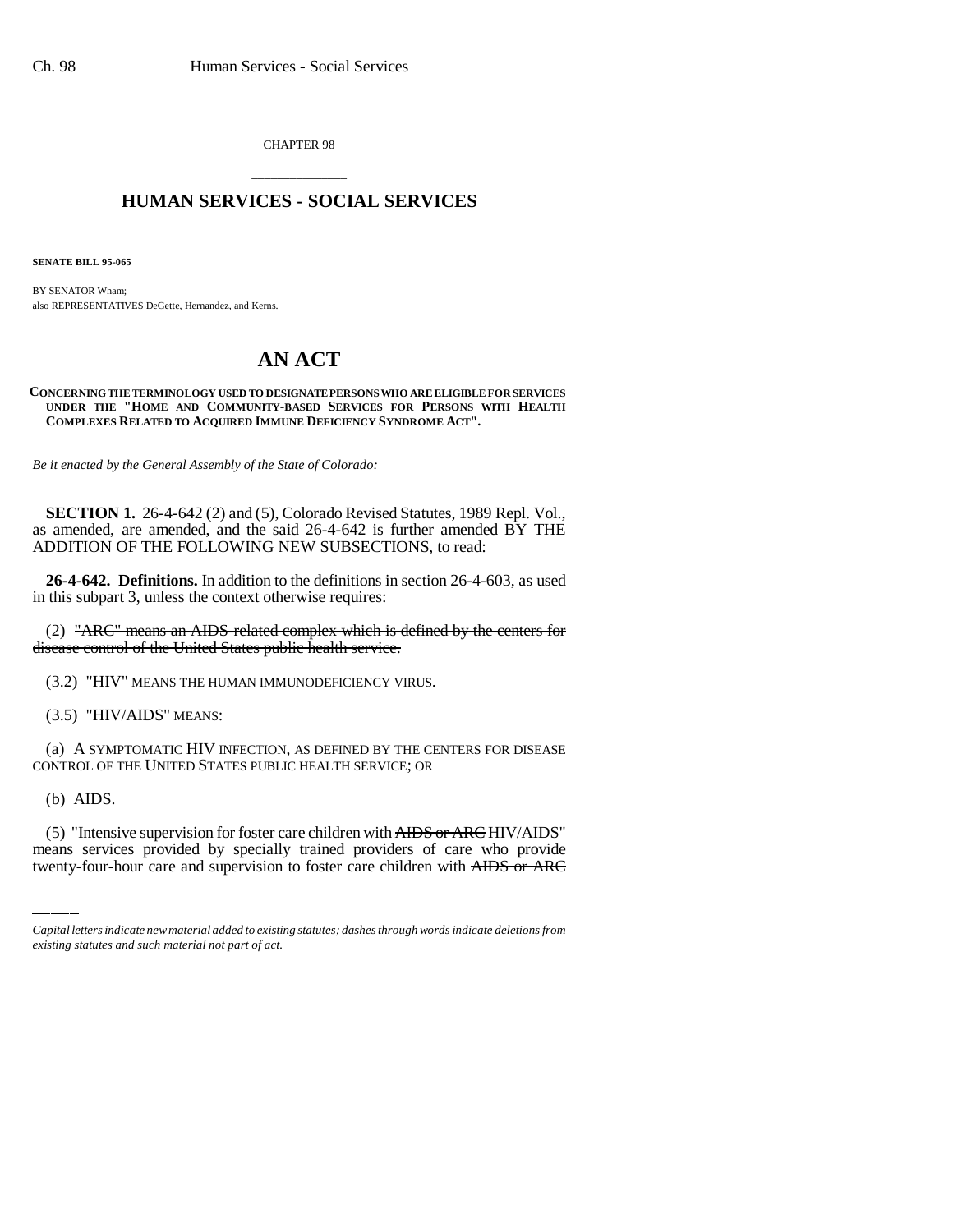CHAPTER 98

## \_\_\_\_\_\_\_\_\_\_\_\_\_\_\_ **HUMAN SERVICES - SOCIAL SERVICES** \_\_\_\_\_\_\_\_\_\_\_\_\_\_\_

**SENATE BILL 95-065**

BY SENATOR Wham; also REPRESENTATIVES DeGette, Hernandez, and Kerns.

## **AN ACT**

## **CONCERNING THE TERMINOLOGY USED TO DESIGNATE PERSONS WHO ARE ELIGIBLE FOR SERVICES UNDER THE "HOME AND COMMUNITY-BASED SERVICES FOR PERSONS WITH HEALTH COMPLEXES RELATED TO ACQUIRED IMMUNE DEFICIENCY SYNDROME ACT".**

*Be it enacted by the General Assembly of the State of Colorado:*

**SECTION 1.** 26-4-642 (2) and (5), Colorado Revised Statutes, 1989 Repl. Vol., as amended, are amended, and the said 26-4-642 is further amended BY THE ADDITION OF THE FOLLOWING NEW SUBSECTIONS, to read:

**26-4-642. Definitions.** In addition to the definitions in section 26-4-603, as used in this subpart 3, unless the context otherwise requires:

(2) "ARC" means an AIDS-related complex which is defined by the centers for disease control of the United States public health service.

(3.2) "HIV" MEANS THE HUMAN IMMUNODEFICIENCY VIRUS.

(3.5) "HIV/AIDS" MEANS:

(a) A SYMPTOMATIC HIV INFECTION, AS DEFINED BY THE CENTERS FOR DISEASE CONTROL OF THE UNITED STATES PUBLIC HEALTH SERVICE; OR

(b) AIDS.

(5) "Intensive supervision for foster care children with  $\overline{A\text{HDS}}$  or  $\overline{A\text{RC}}$  HIV/AIDS" means services provided by specially trained providers of care who provide twenty-four-hour care and supervision to foster care children with AIDS or ARC

*Capital letters indicate new material added to existing statutes; dashes through words indicate deletions from existing statutes and such material not part of act.*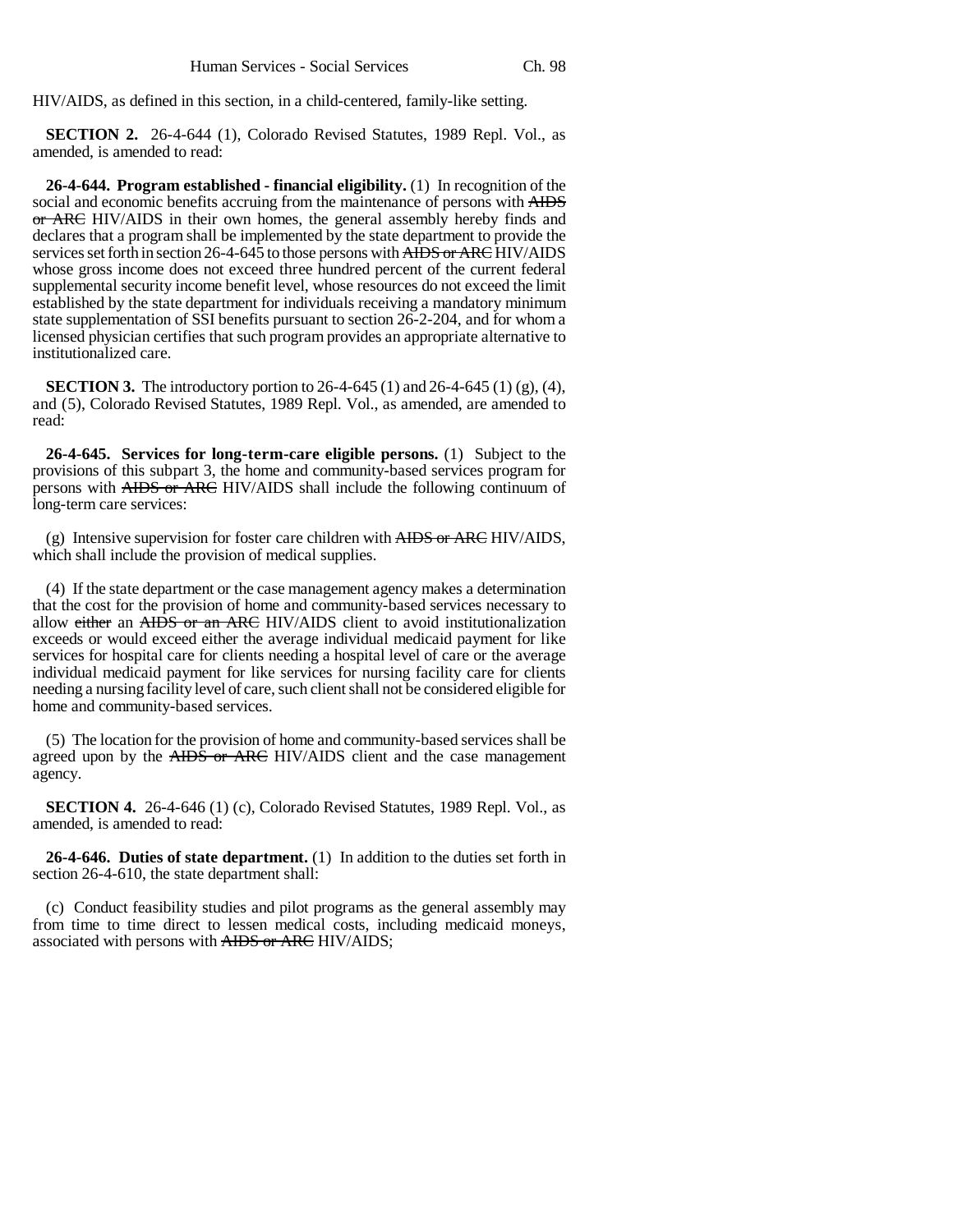HIV/AIDS, as defined in this section, in a child-centered, family-like setting.

**SECTION 2.** 26-4-644 (1), Colorado Revised Statutes, 1989 Repl. Vol., as amended, is amended to read:

**26-4-644. Program established - financial eligibility.** (1) In recognition of the social and economic benefits accruing from the maintenance of persons with AIDS or ARC HIV/AIDS in their own homes, the general assembly hereby finds and declares that a program shall be implemented by the state department to provide the services set forth in section 26-4-645 to those persons with AIDS or ARC HIV/AIDS whose gross income does not exceed three hundred percent of the current federal supplemental security income benefit level, whose resources do not exceed the limit established by the state department for individuals receiving a mandatory minimum state supplementation of SSI benefits pursuant to section 26-2-204, and for whom a licensed physician certifies that such program provides an appropriate alternative to institutionalized care.

**SECTION 3.** The introductory portion to 26-4-645 (1) and 26-4-645 (1) (g), (4), and (5), Colorado Revised Statutes, 1989 Repl. Vol., as amended, are amended to read:

**26-4-645. Services for long-term-care eligible persons.** (1) Subject to the provisions of this subpart 3, the home and community-based services program for persons with AIDS or ARC HIV/AIDS shall include the following continuum of long-term care services:

(g) Intensive supervision for foster care children with AIDS or ARC HIV/AIDS, which shall include the provision of medical supplies.

(4) If the state department or the case management agency makes a determination that the cost for the provision of home and community-based services necessary to allow either an AIDS or an ARC HIV/AIDS client to avoid institutionalization exceeds or would exceed either the average individual medicaid payment for like services for hospital care for clients needing a hospital level of care or the average individual medicaid payment for like services for nursing facility care for clients needing a nursing facility level of care, such client shall not be considered eligible for home and community-based services.

(5) The location for the provision of home and community-based services shall be agreed upon by the AIDS or ARC HIV/AIDS client and the case management agency.

**SECTION 4.** 26-4-646 (1) (c), Colorado Revised Statutes, 1989 Repl. Vol., as amended, is amended to read:

**26-4-646. Duties of state department.** (1) In addition to the duties set forth in section 26-4-610, the state department shall:

(c) Conduct feasibility studies and pilot programs as the general assembly may from time to time direct to lessen medical costs, including medicaid moneys, associated with persons with AIDS or ARC HIV/AIDS;